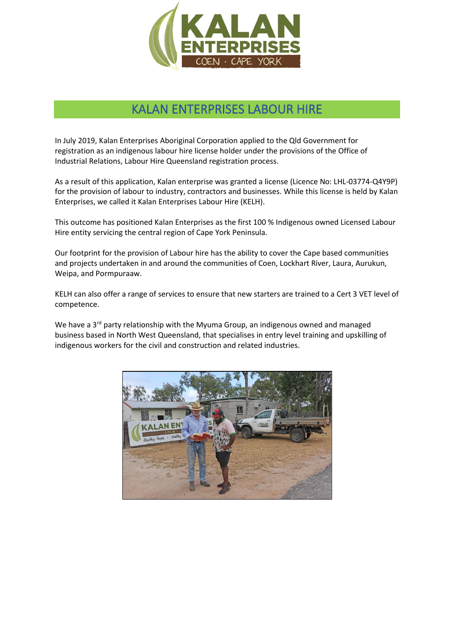

# KALAN ENTERPRISES LABOUR HIRE

In July 2019, Kalan Enterprises Aboriginal Corporation applied to the Qld Government for registration as an indigenous labour hire license holder under the provisions of the Office of Industrial Relations, Labour Hire Queensland registration process.

As a result of this application, Kalan enterprise was granted a license (Licence No: LHL-03774-Q4Y9P) for the provision of labour to industry, contractors and businesses. While this license is held by Kalan Enterprises, we called it Kalan Enterprises Labour Hire (KELH).

This outcome has positioned Kalan Enterprises as the first 100 % Indigenous owned Licensed Labour Hire entity servicing the central region of Cape York Peninsula.

Our footprint for the provision of Labour hire has the ability to cover the Cape based communities and projects undertaken in and around the communities of Coen, Lockhart River, Laura, Aurukun, Weipa, and Pormpuraaw.

KELH can also offer a range of services to ensure that new starters are trained to a Cert 3 VET level of competence.

We have a 3<sup>rd</sup> party relationship with the Myuma Group, an indigenous owned and managed business based in North West Queensland, that specialises in entry level training and upskilling of indigenous workers for the civil and construction and related industries.

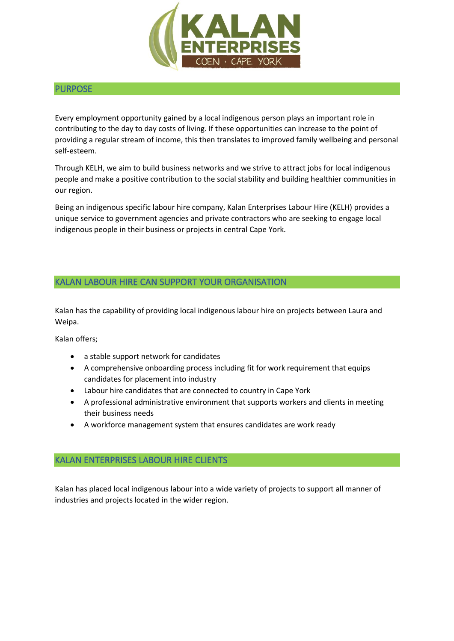

#### PURPOSE

Every employment opportunity gained by a local indigenous person plays an important role in contributing to the day to day costs of living. If these opportunities can increase to the point of providing a regular stream of income, this then translates to improved family wellbeing and personal self-esteem.

Through KELH, we aim to build business networks and we strive to attract jobs for local indigenous people and make a positive contribution to the social stability and building healthier communities in our region.

Being an indigenous specific labour hire company, Kalan Enterprises Labour Hire (KELH) provides a unique service to government agencies and private contractors who are seeking to engage local indigenous people in their business or projects in central Cape York.

#### KALAN LABOUR HIRE CAN SUPPORT YOUR ORGANISATION

Kalan has the capability of providing local indigenous labour hire on projects between Laura and Weipa.

Kalan offers;

- a stable support network for candidates
- A comprehensive onboarding process including fit for work requirement that equips candidates for placement into industry
- Labour hire candidates that are connected to country in Cape York
- A professional administrative environment that supports workers and clients in meeting their business needs
- A workforce management system that ensures candidates are work ready

#### KALAN ENTERPRISES LABOUR HIRE CLIENTS

Kalan has placed local indigenous labour into a wide variety of projects to support all manner of industries and projects located in the wider region.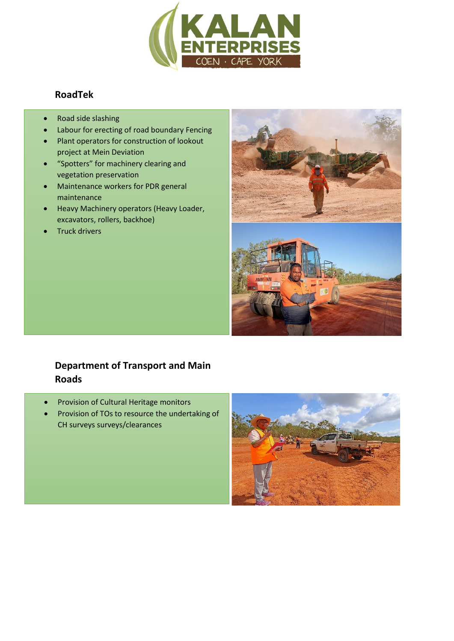

## **RoadTek**

- Road side slashing
- Labour for erecting of road boundary Fencing
- Plant operators for construction of lookout project at Mein Deviation
- "Spotters" for machinery clearing and vegetation preservation
- Maintenance workers for PDR general maintenance
- Heavy Machinery operators (Heavy Loader, excavators, rollers, backhoe)
- Truck drivers



# **Department of Transport and Main Roads**

- Provision of Cultural Heritage monitors
- Provision of TOs to resource the undertaking of CH surveys surveys/clearances

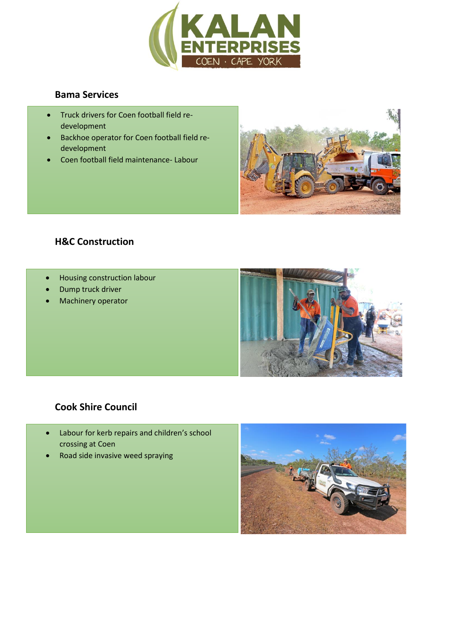

#### **Bama Services**

- Truck drivers for Coen football field redevelopment
- Backhoe operator for Coen football field redevelopment
- Coen football field maintenance- Labour



### **H&C Construction**

- Housing construction labour
- Dump truck driver
- Machinery operator



## **Cook Shire Council**

- Labour for kerb repairs and children's school crossing at Coen
- Road side invasive weed spraying